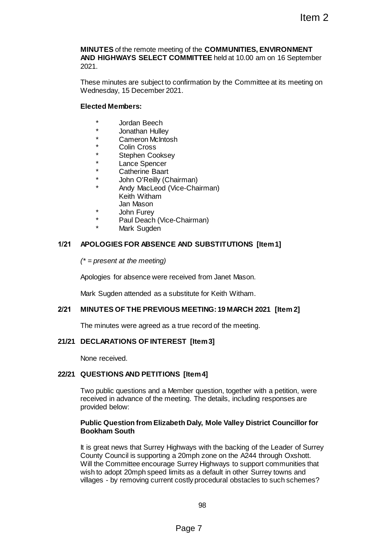**MINUTES** of the remote meeting of the **COMMUNITIES, ENVIRONMENT AND HIGHWAYS SELECT COMMITTEE** held at 10.00 am on 16 September 2021.

These minutes are subject to confirmation by the Committee at its meeting on Wednesday, 15 December 2021.

# **Elected Members:**

- Jordan Beech
- \* Jonathan Hulley
- Cameron McIntosh
- Colin Cross
- Stephen Cooksey
- Lance Spencer
- Catherine Baart
- John O'Reilly (Chairman)
- Andy MacLeod (Vice-Chairman) Keith Witham Jan Mason
- John Furev
- Paul Deach (Vice-Chairman)
	- Mark Sugden

# **1/21 APOLOGIES FOR ABSENCE AND SUBSTITUTIONS [Item 1]**

*(\* = present at the meeting)*

Apologies for absence were received from Janet Mason.

Mark Sugden attended as a substitute for Keith Witham.

# **2/21 MINUTES OF THE PREVIOUS MEETING: 19 MARCH 2021 [Item 2]**

The minutes were agreed as a true record of the meeting.

# **21/21 DECLARATIONS OF INTEREST [Item 3]**

None received.

# **22/21 QUESTIONS AND PETITIONS [Item 4]**

Two public questions and a Member question, together with a petition, were received in advance of the meeting. The details, including responses are provided below:

## **Public Question from Elizabeth Daly, Mole Valley District Councillor for Bookham South**

It is great news that Surrey Highways with the backing of the Leader of Surrey County Council is supporting a 20mph zone on the A244 through Oxshott. Will the Committee encourage Surrey Highways to support communities that wish to adopt 20mph speed limits as a default in other Surrey towns and villages - by removing current costly procedural obstacles to such schemes? Item 2<br>
Item 2<br>
DIMMITTEE held at 10.00 am on 16 September<br>
confirmation by the Committee at its meeting on<br>
21.<br>
The Constant of September<br>
21.<br>
The Constant of Markon.<br>
Chairman)<br>
AND SUBSTITUTIONS [Item 1]<br>
ceived from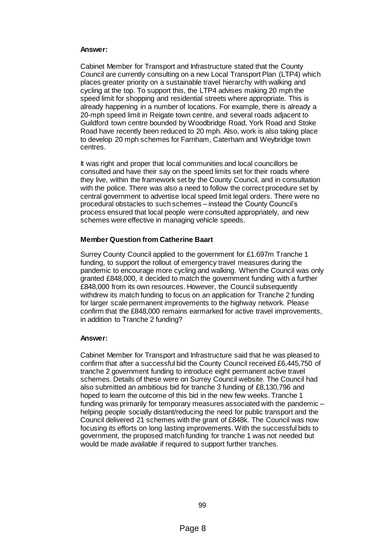### **Answer:**

Cabinet Member for Transport and Infrastructure stated that the County Council are currently consulting on a new Local Transport Plan (LTP4) which places greater priority on a sustainable travel hierarchy with walking and cycling at the top. To support this, the LTP4 advises making 20 mph the speed limit for shopping and residential streets where appropriate. This is already happening in a number of locations. For example, there is already a 20-mph speed limit in Reigate town centre, and several roads adjacent to Guildford town centre bounded by Woodbridge Road, York Road and Stoke Road have recently been reduced to 20 mph. Also, work is also taking place to develop 20 mph schemes for Farnham, Caterham and Weybridge town centres.

It was right and proper that local communities and local councillors be consulted and have their say on the speed limits set for their roads where they live, within the framework set by the County Council, and in consultation with the police. There was also a need to follow the correct procedure set by central government to advertise local speed limit legal orders. There were no procedural obstacles to such schemes – instead the County Council's process ensured that local people were consulted appropriately, and new schemes were effective in managing vehicle speeds.

### **Member Question from Catherine Baart**

Surrey County Council applied to the government for £1.697m Tranche 1 funding, to support the rollout of emergency travel measures during the pandemic to encourage more cycling and walking. When the Council was only granted £848,000, it decided to match the government funding with a further £848,000 from its own resources. However, the Council subsequently withdrew its match funding to focus on an application for Tranche 2 funding for larger scale permanent improvements to the highway network. Please confirm that the £848,000 remains earmarked for active travel improvements, in addition to Tranche 2 funding?

### **Answer:**

Cabinet Member for Transport and Infrastructure said that he was pleased to confirm that after a successful bid the County Council received £6,445,750 of tranche 2 government funding to introduce eight permanent active travel schemes. Details of these were on Surrey Council website. The Council had also submitted an ambitious bid for tranche 3 funding of £8,130,796 and hoped to learn the outcome of this bid in the new few weeks. Tranche 1 funding was primarily for temporary measures associated with the pandemic – helping people socially distant/reducing the need for public transport and the Council delivered 21 schemes with the grant of £848k. The Council was now focusing its efforts on long lasting improvements. With the successful bids to government, the proposed match funding for tranche 1 was not needed but would be made available if required to support further tranches.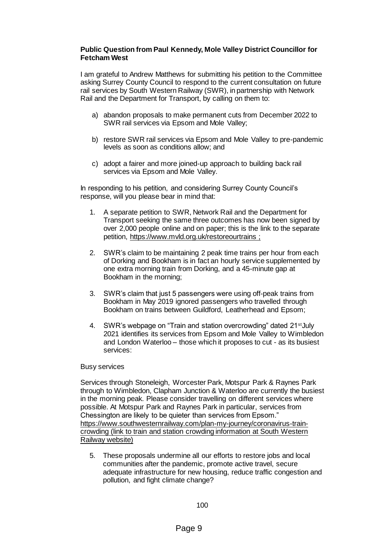# **Public Question from Paul Kennedy, Mole Valley District Councillor for Fetcham West**

I am grateful to Andrew Matthews for submitting his petition to the Committee asking Surrey County Council to respond to the current consultation on future rail services by South Western Railway (SWR), in partnership with Network Rail and the Department for Transport, by calling on them to:

- a) abandon proposals to make permanent cuts from December 2022 to SWR rail services via Epsom and Mole Valley;
- b) restore SWR rail services via Epsom and Mole Valley to pre-pandemic levels as soon as conditions allow; and
- c) adopt a fairer and more joined-up approach to building back rail services via Epsom and Mole Valley.

In responding to his petition, and considering Surrey County Council's response, will you please bear in mind that:

- 1. A separate petition to SWR, Network Rail and the Department for Transport seeking the same three outcomes has now been signed by over 2,000 people online and on paper; this is the link to the separate petition,<https://www.mvld.org.uk/restoreourtrains> ;
- 2. SWR's claim to be maintaining 2 peak time trains per hour from each of Dorking and Bookham is in fact an hourly service supplemented by one extra morning train from Dorking, and a 45-minute gap at Bookham in the morning;
- 3. SWR's claim that just 5 passengers were using off-peak trains from Bookham in May 2019 ignored passengers who travelled through Bookham on trains between Guildford, Leatherhead and Epsom;
- 4. SWR's webpage on "Train and station overcrowding" dated 21<sup>st</sup> July 2021 identifies its services from Epsom and Mole Valley to Wimbledon and London Waterloo – those which it proposes to cut - as its busiest services:

# Busy services

Services through Stoneleigh, Worcester Park, Motspur Park & Raynes Park through to Wimbledon, Clapham Junction & Waterloo are currently the busiest in the morning peak. Please consider travelling on different services where possible. At Motspur Park and Raynes Park in particular, services from Chessington are likely to be quieter than services from Epsom." [https://www.southwesternrailway.com/plan-my-journey/coronavirus-train](https://www.southwesternrailway.com/plan-my-journey/coronavirus-train-crowding)[crowding](https://www.southwesternrailway.com/plan-my-journey/coronavirus-train-crowding) (link to train and station crowding information at South Western Railway website)

5. These proposals undermine all our efforts to restore jobs and local communities after the pandemic, promote active travel, secure adequate infrastructure for new housing, reduce traffic congestion and pollution, and fight climate change?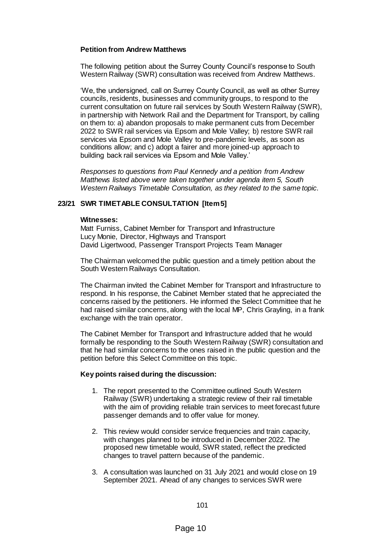## **Petition from Andrew Matthews**

The following petition about the Surrey County Council's response to South Western Railway (SWR) consultation was received from Andrew Matthews.

'We, the undersigned, call on Surrey County Council, as well as other Surrey councils, residents, businesses and community groups, to respond to the current consultation on future rail services by South Western Railway (SWR), in partnership with Network Rail and the Department for Transport, by calling on them to: a) abandon proposals to make permanent cuts from December 2022 to SWR rail services via Epsom and Mole Valley; b) restore SWR rail services via Epsom and Mole Valley to pre-pandemic levels, as soon as conditions allow; and c) adopt a fairer and more joined-up approach to building back rail services via Epsom and Mole Valley.'

*Responses to questions from Paul Kennedy and a petition from Andrew Matthews listed above were taken together under agenda item 5, South Western Railways Timetable Consultation, as they related to the same topic.*

# **23/21 SWR TIMETABLE CONSULTATION [Item 5]**

#### **Witnesses:**

Matt Furniss, Cabinet Member for Transport and Infrastructure Lucy Monie, Director, Highways and Transport David Ligertwood, Passenger Transport Projects Team Manager

The Chairman welcomed the public question and a timely petition about the South Western Railways Consultation.

The Chairman invited the Cabinet Member for Transport and Infrastructure to respond. In his response, the Cabinet Member stated that he appreciated the concerns raised by the petitioners. He informed the Select Committee that he had raised similar concerns, along with the local MP, Chris Grayling, in a frank exchange with the train operator.

The Cabinet Member for Transport and Infrastructure added that he would formally be responding to the South Western Railway (SWR) consultation and that he had similar concerns to the ones raised in the public question and the petition before this Select Committee on this topic.

### **Key points raised during the discussion:**

- 1. The report presented to the Committee outlined South Western Railway (SWR) undertaking a strategic review of their rail timetable with the aim of providing reliable train services to meet forecast future passenger demands and to offer value for money.
- 2. This review would consider service frequencies and train capacity, with changes planned to be introduced in December 2022. The proposed new timetable would, SWR stated, reflect the predicted changes to travel pattern because of the pandemic.
- 3. A consultation was launched on 31 July 2021 and would close on 19 September 2021. Ahead of any changes to services SWR were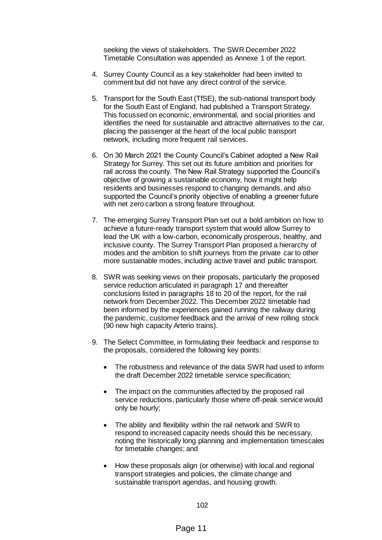seeking the views of stakeholders. The SWR December 2022 Timetable Consultation was appended as Annexe 1 of the report.

- 4. Surrey County Council as a key stakeholder had been invited to comment but did not have any direct control of the service.
- 5. Transport for the South East (TfSE), the sub-national transport body for the South East of England, had published a Transport Strategy. This focussed on economic, environmental, and social priorities and identifies the need for sustainable and attractive alternatives to the car, placing the passenger at the heart of the local public transport network, including more frequent rail services.
- 6. On 30 March 2021 the County Council's Cabinet adopted a New Rail Strategy for Surrey. This set out its future ambition and priorities for rail across the county. The New Rail Strategy supported the Council's objective of growing a sustainable economy, how it might help residents and businesses respond to changing demands, and also supported the Council's priority objective of enabling a greener future with net zero carbon a strong feature throughout.
- 7. The emerging Surrey Transport Plan set out a bold ambition on how to achieve a future-ready transport system that would allow Surrey to lead the UK with a low-carbon, economically prosperous, healthy, and inclusive county. The Surrey Transport Plan proposed a hierarchy of modes and the ambition to shift journeys from the private car to other more sustainable modes, including active travel and public transport.
- 8. SWR was seeking views on their proposals, particularly the proposed service reduction articulated in paragraph 17 and thereafter conclusions listed in paragraphs 18 to 20 of the report, for the rail network from December 2022. This December 2022 timetable had been informed by the experiences gained running the railway during the pandemic, customer feedback and the arrival of new rolling stock (90 new high capacity Arterio trains).
- 9. The Select Committee, in formulating their feedback and response to the proposals, considered the following key points:
	- The robustness and relevance of the data SWR had used to inform the draft December 2022 timetable service specification;
	- The impact on the communities affected by the proposed rail service reductions, particularly those where off-peak service would only be hourly;
	- The ability and flexibility within the rail network and SWR to respond to increased capacity needs should this be necessary, noting the historically long planning and implementation timescales for timetable changes; and
	- How these proposals align (or otherwise) with local and regional transport strategies and policies, the climate change and sustainable transport agendas, and housing growth.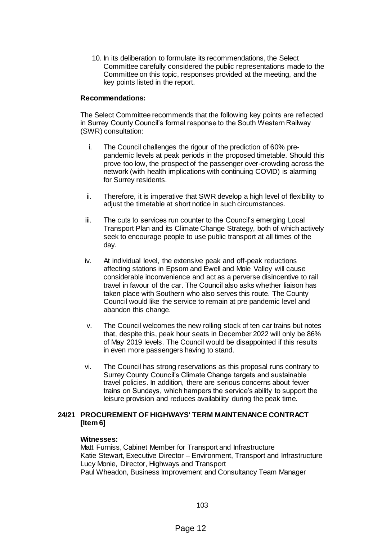10. In its deliberation to formulate its recommendations, the Select Committee carefully considered the public representations made to the Committee on this topic, responses provided at the meeting, and the key points listed in the report.

## **Recommendations:**

The Select Committee recommends that the following key points are reflected in Surrey County Council's formal response to the South Western Railway (SWR) consultation:

- i. The Council challenges the rigour of the prediction of 60% prepandemic levels at peak periods in the proposed timetable. Should this prove too low, the prospect of the passenger over-crowding across the network (with health implications with continuing COVID) is alarming for Surrey residents.
- ii. Therefore, it is imperative that SWR develop a high level of flexibility to adjust the timetable at short notice in such circumstances.
- iii. The cuts to services run counter to the Council's emerging Local Transport Plan and its Climate Change Strategy, both of which actively seek to encourage people to use public transport at all times of the day.
- iv. At individual level, the extensive peak and off-peak reductions affecting stations in Epsom and Ewell and Mole Valley will cause considerable inconvenience and act as a perverse disincentive to rail travel in favour of the car. The Council also asks whether liaison has taken place with Southern who also serves this route. The County Council would like the service to remain at pre pandemic level and abandon this change.
- v. The Council welcomes the new rolling stock of ten car trains but notes that, despite this, peak hour seats in December 2022 will only be 86% of May 2019 levels. The Council would be disappointed if this results in even more passengers having to stand.
- vi. The Council has strong reservations as this proposal runs contrary to Surrey County Council's Climate Change targets and sustainable travel policies. In addition, there are serious concerns about fewer trains on Sundays, which hampers the service's ability to support the leisure provision and reduces availability during the peak time.

## **24/21 PROCUREMENT OF HIGHWAYS' TERM MAINTENANCE CONTRACT [Item 6]**

### **Witnesses:**

Matt Furniss, Cabinet Member for Transport and Infrastructure Katie Stewart, Executive Director – Environment, Transport and Infrastructure Lucy Monie, Director, Highways and Transport Paul Wheadon, Business Improvement and Consultancy Team Manager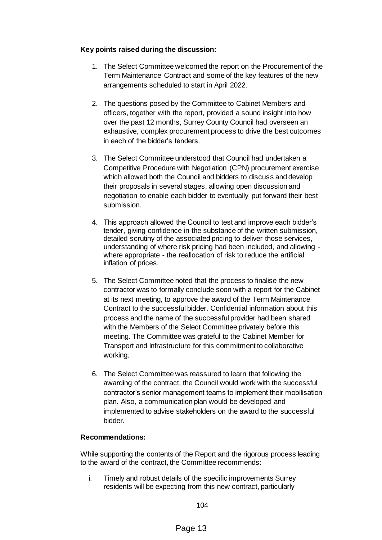# **Key points raised during the discussion:**

- 1. The Select Committee welcomed the report on the Procurement of the Term Maintenance Contract and some of the key features of the new arrangements scheduled to start in April 2022.
- 2. The questions posed by the Committee to Cabinet Members and officers, together with the report, provided a sound insight into how over the past 12 months, Surrey County Council had overseen an exhaustive, complex procurement process to drive the best outcomes in each of the bidder's tenders.
- 3. The Select Committee understood that Council had undertaken a Competitive Procedure with Negotiation (CPN) procurement exercise which allowed both the Council and bidders to discuss and develop their proposals in several stages, allowing open discussion and negotiation to enable each bidder to eventually put forward their best submission.
- 4. This approach allowed the Council to test and improve each bidder's tender, giving confidence in the substance of the written submission, detailed scrutiny of the associated pricing to deliver those services, understanding of where risk pricing had been included, and allowing where appropriate - the reallocation of risk to reduce the artificial inflation of prices.
- 5. The Select Committee noted that the process to finalise the new contractor was to formally conclude soon with a report for the Cabinet at its next meeting, to approve the award of the Term Maintenance Contract to the successful bidder. Confidential information about this process and the name of the successful provider had been shared with the Members of the Select Committee privately before this meeting. The Committee was grateful to the Cabinet Member for Transport and Infrastructure for this commitment to collaborative working.
- 6. The Select Committee was reassured to learn that following the awarding of the contract, the Council would work with the successful contractor's senior management teams to implement their mobilisation plan. Also, a communication plan would be developed and implemented to advise stakeholders on the award to the successful bidder.

# **Recommendations:**

While supporting the contents of the Report and the rigorous process leading to the award of the contract, the Committee recommends:

i. Timely and robust details of the specific improvements Surrey residents will be expecting from this new contract, particularly

104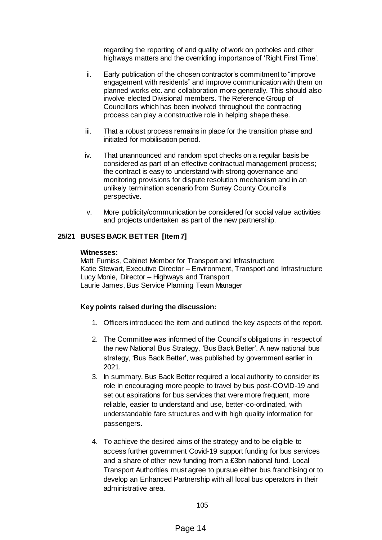regarding the reporting of and quality of work on potholes and other highways matters and the overriding importance of 'Right First Time'.

- ii. Early publication of the chosen contractor's commitment to "improve engagement with residents" and improve communication with them on planned works etc. and collaboration more generally. This should also involve elected Divisional members. The Reference Group of Councillors which has been involved throughout the contracting process can play a constructive role in helping shape these.
- iii. That a robust process remains in place for the transition phase and initiated for mobilisation period.
- iv. That unannounced and random spot checks on a regular basis be considered as part of an effective contractual management process; the contract is easy to understand with strong governance and monitoring provisions for dispute resolution mechanism and in an unlikely termination scenario from Surrey County Council's perspective.
- v. More publicity/communication be considered for social value activities and projects undertaken as part of the new partnership.

# **25/21 BUSES BACK BETTER [Item 7]**

#### **Witnesses:**

Matt Furniss, Cabinet Member for Transport and Infrastructure Katie Stewart, Executive Director – Environment, Transport and Infrastructure Lucy Monie, Director – Highways and Transport Laurie James, Bus Service Planning Team Manager

## **Key points raised during the discussion:**

- 1. Officers introduced the item and outlined the key aspects of the report.
- 2. The Committee was informed of the Council's obligations in respect of the new National Bus Strategy, 'Bus Back Better'. A new national bus strategy, 'Bus Back Better', was published by government earlier in 2021.
- 3. In summary, Bus Back Better required a local authority to consider its role in encouraging more people to travel by bus post-COVID-19 and set out aspirations for bus services that were more frequent, more reliable, easier to understand and use, better-co-ordinated, with understandable fare structures and with high quality information for passengers.
- 4. To achieve the desired aims of the strategy and to be eligible to access further government Covid-19 support funding for bus services and a share of other new funding from a £3bn national fund. Local Transport Authorities must agree to pursue either bus franchising or to develop an Enhanced Partnership with all local bus operators in their administrative area.

105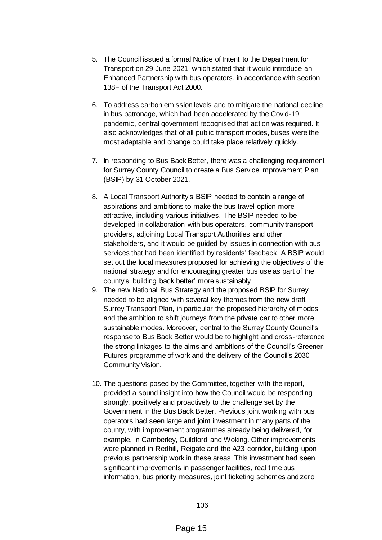- 5. The Council issued a formal Notice of Intent to the Department for Transport on 29 June 2021, which stated that it would introduce an Enhanced Partnership with bus operators, in accordance with section 138F of the Transport Act 2000.
- 6. To address carbon emission levels and to mitigate the national decline in bus patronage, which had been accelerated by the Covid-19 pandemic, central government recognised that action was required. It also acknowledges that of all public transport modes, buses were the most adaptable and change could take place relatively quickly.
- 7. In responding to Bus Back Better, there was a challenging requirement for Surrey County Council to create a Bus Service Improvement Plan (BSIP) by 31 October 2021.
- 8. A Local Transport Authority's BSIP needed to contain a range of aspirations and ambitions to make the bus travel option more attractive, including various initiatives. The BSIP needed to be developed in collaboration with bus operators, community transport providers, adjoining Local Transport Authorities and other stakeholders, and it would be guided by issues in connection with bus services that had been identified by residents' feedback. A BSIP would set out the local measures proposed for achieving the objectives of the national strategy and for encouraging greater bus use as part of the county's 'building back better' more sustainably.
- 9. The new National Bus Strategy and the proposed BSIP for Surrey needed to be aligned with several key themes from the new draft Surrey Transport Plan, in particular the proposed hierarchy of modes and the ambition to shift journeys from the private car to other more sustainable modes. Moreover, central to the Surrey County Council's response to Bus Back Better would be to highlight and cross-reference the strong linkages to the aims and ambitions of the Council's Greener Futures programme of work and the delivery of the Council's 2030 Community Vision.
- 10. The questions posed by the Committee, together with the report, provided a sound insight into how the Council would be responding strongly, positively and proactively to the challenge set by the Government in the Bus Back Better. Previous joint working with bus operators had seen large and joint investment in many parts of the county, with improvement programmes already being delivered, for example, in Camberley, Guildford and Woking. Other improvements were planned in Redhill, Reigate and the A23 corridor, building upon previous partnership work in these areas. This investment had seen significant improvements in passenger facilities, real time bus information, bus priority measures, joint ticketing schemes and zero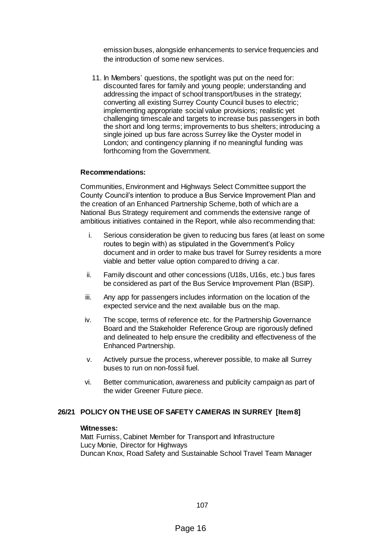emission buses, alongside enhancements to service frequencies and the introduction of some new services.

11. In Members' questions, the spotlight was put on the need for: discounted fares for family and young people; understanding and addressing the impact of school transport/buses in the strategy; converting all existing Surrey County Council buses to electric; implementing appropriate social value provisions; realistic yet challenging timescale and targets to increase bus passengers in both the short and long terms; improvements to bus shelters; introducing a single joined up bus fare across Surrey like the Oyster model in London; and contingency planning if no meaningful funding was forthcoming from the Government.

## **Recommendations:**

Communities, Environment and Highways Select Committee support the County Council's intention to produce a Bus Service Improvement Plan and the creation of an Enhanced Partnership Scheme, both of which are a National Bus Strategy requirement and commends the extensive range of ambitious initiatives contained in the Report, while also recommending that:

- i. Serious consideration be given to reducing bus fares (at least on some routes to begin with) as stipulated in the Government's Policy document and in order to make bus travel for Surrey residents a more viable and better value option compared to driving a car.
- ii. Family discount and other concessions (U18s, U16s, etc.) bus fares be considered as part of the Bus Service Improvement Plan (BSIP).
- iii. Any app for passengers includes information on the location of the expected service and the next available bus on the map.
- iv. The scope, terms of reference etc. for the Partnership Governance Board and the Stakeholder Reference Group are rigorously defined and delineated to help ensure the credibility and effectiveness of the Enhanced Partnership.
- v. Actively pursue the process, wherever possible, to make all Surrey buses to run on non-fossil fuel.
- vi. Better communication, awareness and publicity campaign as part of the wider Greener Future piece.

# **26/21 POLICY ON THE USE OF SAFETY CAMERAS IN SURREY [Item 8]**

#### **Witnesses:**

Matt Furniss, Cabinet Member for Transport and Infrastructure Lucy Monie, Director for Highways Duncan Knox, Road Safety and Sustainable School Travel Team Manager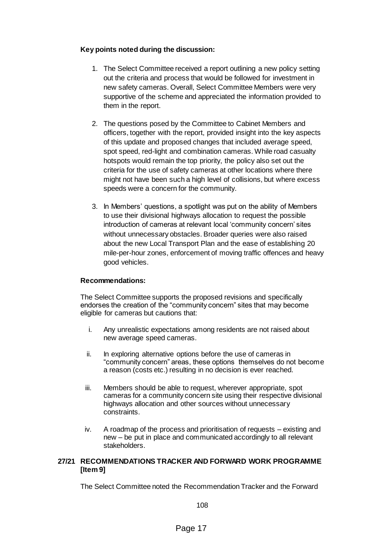# **Key points noted during the discussion:**

- 1. The Select Committee received a report outlining a new policy setting out the criteria and process that would be followed for investment in new safety cameras. Overall, Select Committee Members were very supportive of the scheme and appreciated the information provided to them in the report.
- 2. The questions posed by the Committee to Cabinet Members and officers, together with the report, provided insight into the key aspects of this update and proposed changes that included average speed, spot speed, red-light and combination cameras. While road casualty hotspots would remain the top priority, the policy also set out the criteria for the use of safety cameras at other locations where there might not have been such a high level of collisions, but where excess speeds were a concern for the community.
- 3. In Members' questions, a spotlight was put on the ability of Members to use their divisional highways allocation to request the possible introduction of cameras at relevant local 'community concern' sites without unnecessary obstacles. Broader queries were also raised about the new Local Transport Plan and the ease of establishing 20 mile-per-hour zones, enforcement of moving traffic offences and heavy good vehicles.

# **Recommendations:**

The Select Committee supports the proposed revisions and specifically endorses the creation of the "community concern" sites that may become eligible for cameras but cautions that:

- i. Any unrealistic expectations among residents are not raised about new average speed cameras.
- ii. In exploring alternative options before the use of cameras in "community concern" areas, these options themselves do not become a reason (costs etc.) resulting in no decision is ever reached.
- iii. Members should be able to request, wherever appropriate, spot cameras for a community concern site using their respective divisional highways allocation and other sources without unnecessary constraints.
- iv. A roadmap of the process and prioritisation of requests existing and new – be put in place and communicated accordingly to all relevant stakeholders.

# **27/21 RECOMMENDATIONS TRACKER AND FORWARD WORK PROGRAMME [Item 9]**

The Select Committee noted the Recommendation Tracker and the Forward